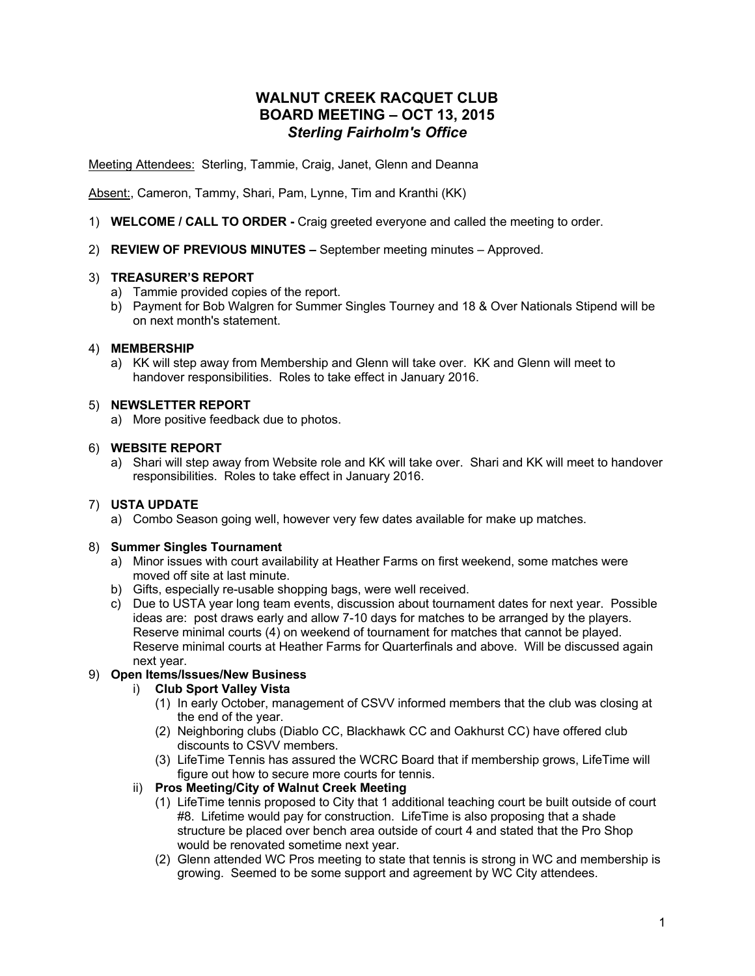# **WALNUT CREEK RACQUET CLUB BOARD MEETING – OCT 13, 2015** *Sterling Fairholm's Office*

Meeting Attendees: Sterling, Tammie, Craig, Janet, Glenn and Deanna

Absent:, Cameron, Tammy, Shari, Pam, Lynne, Tim and Kranthi (KK)

- 1) **WELCOME / CALL TO ORDER -** Craig greeted everyone and called the meeting to order.
- 2) **REVIEW OF PREVIOUS MINUTES –** September meeting minutes Approved.

# 3) **TREASURER'S REPORT**

- a) Tammie provided copies of the report.
- b) Payment for Bob Walgren for Summer Singles Tourney and 18 & Over Nationals Stipend will be on next month's statement.

# 4) **MEMBERSHIP**

a) KK will step away from Membership and Glenn will take over. KK and Glenn will meet to handover responsibilities. Roles to take effect in January 2016.

# 5) **NEWSLETTER REPORT**

a) More positive feedback due to photos.

# 6) **WEBSITE REPORT**

a) Shari will step away from Website role and KK will take over. Shari and KK will meet to handover responsibilities. Roles to take effect in January 2016.

# 7) **USTA UPDATE**

a) Combo Season going well, however very few dates available for make up matches.

#### 8) **Summer Singles Tournament**

- a) Minor issues with court availability at Heather Farms on first weekend, some matches were moved off site at last minute.
- b) Gifts, especially re-usable shopping bags, were well received.
- c) Due to USTA year long team events, discussion about tournament dates for next year. Possible ideas are: post draws early and allow 7-10 days for matches to be arranged by the players. Reserve minimal courts (4) on weekend of tournament for matches that cannot be played. Reserve minimal courts at Heather Farms for Quarterfinals and above. Will be discussed again next year.

# 9) **Open Items/Issues/New Business**

#### i) **Club Sport Valley Vista**

- (1) In early October, management of CSVV informed members that the club was closing at the end of the year.
- (2) Neighboring clubs (Diablo CC, Blackhawk CC and Oakhurst CC) have offered club discounts to CSVV members.
- (3) LifeTime Tennis has assured the WCRC Board that if membership grows, LifeTime will figure out how to secure more courts for tennis.

# ii) **Pros Meeting/City of Walnut Creek Meeting**

- (1) LifeTime tennis proposed to City that 1 additional teaching court be built outside of court #8. Lifetime would pay for construction. LifeTime is also proposing that a shade structure be placed over bench area outside of court 4 and stated that the Pro Shop would be renovated sometime next year.
- (2) Glenn attended WC Pros meeting to state that tennis is strong in WC and membership is growing. Seemed to be some support and agreement by WC City attendees.